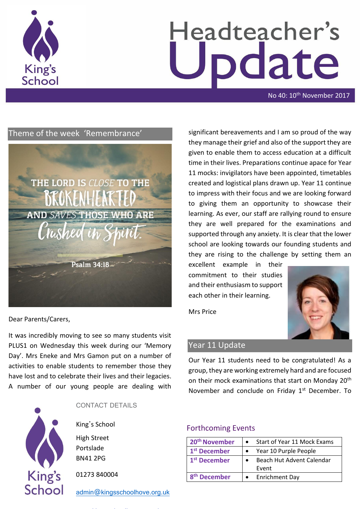

# Headteacher's odate

No 40: 10<sup>th</sup> November 2017

# Theme of the week 'Remembrance'



Dear Parents/Carers,

It was incredibly moving to see so many students visit PLUS1 on Wednesday this week during our 'Memory Day'. Mrs Eneke and Mrs Gamon put on a number of activities to enable students to remember those they have lost and to celebrate their lives and their legacies. A number of our young people are dealing with



CONTACT DETAILS

King's School High Street Portslade

BN41 2PG

01273 840004

[admin@kingsschoolhove.org.uk](mailto:admin@kingsschoolhove.org.uk)

significant bereavements and I am so proud of the way they manage their grief and also of the support they are given to enable them to access education at a difficult time in their lives. Preparations continue apace for Year 11 mocks: invigilators have been appointed, timetables created and logistical plans drawn up. Year 11 continue to impress with their focus and we are looking forward to giving them an opportunity to showcase their learning. As ever, our staff are rallying round to ensure they are well prepared for the examinations and supported through any anxiety. It is clear that the lower school are looking towards our founding students and they are rising to the challenge by setting them an

excellent example in their commitment to their studies and their enthusiasm to support each other in their learning.

Mrs Price



# Year 11 Update

Our Year 11 students need to be congratulated! As a group, they are working extremely hard and are focused on their mock examinations that start on Monday 20<sup>th</sup> November and conclude on Friday  $1<sup>st</sup>$  December. To

### Forthcoming Events

| 20 <sup>th</sup> November | Start of Year 11 Mock Exams |
|---------------------------|-----------------------------|
| 1 <sup>st</sup> December  | Year 10 Purple People       |
| 1 <sup>st</sup> December  | Beach Hut Advent Calendar   |
|                           | Event                       |
| <sup>th</sup> December    | <b>Enrichment Day</b>       |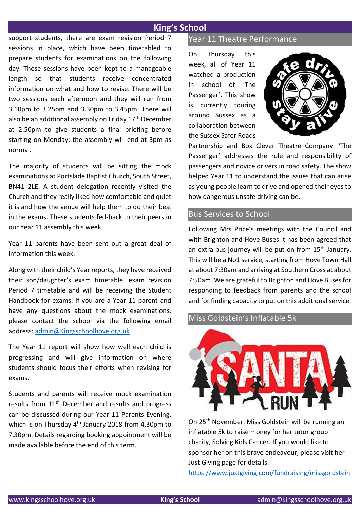# **King's School**

support students, there are exam revision Period 7 sessions in place, which have been timetabled to prepare students for examinations on the following day. These sessions have been kept to a manageable length so that students receive concentrated information on what and how to revise. There will be two sessions each afternoon and they will run from 3.10pm to 3.25pm and 3.30pm to 3.45pm. There will also be an additional assembly on Friday 17<sup>th</sup> December at 2:50pm to give students a final briefing before starting on Monday; the assembly will end at 3pm as normal.

The majority of students will be sitting the mock examinations at Portslade Baptist Church, South Street, BN41 2LE. A student delegation recently visited the Church and they really liked how comfortable and quiet it is and how the venue will help them to do their best in the exams. These students fed-back to their peers in our Year 11 assembly this week.

Year 11 parents have been sent out a great deal of information this week.

Along with their child's Year reports, they have received their son/daughter's exam timetable, exam revision Period 7 timetable and will be receiving the Student Handbook for exams. If you are a Year 11 parent and have any questions about the mock examinations, please contact the school via the following email address: [admin@Kingsschoolhove.org.uk](mailto:admin@Kingsschoolhove.org.uk)

The Year 11 report will show how well each child is progressing and will give information on where students should focus their efforts when revising for exams.

Students and parents will receive mock examination results from 11<sup>th</sup> December and results and progress can be discussed during our Year 11 Parents Evening, which is on Thursday  $4<sup>th</sup>$  January 2018 from 4.30pm to 7.30pm. Details regarding booking appointment will be made available before the end of this term.

#### Year 11 Theatre Performance

On Thursday this week, all of Year 11 watched a production in school of 'The Passenger'. This show is currently touring around Sussex as a collaboration between the Sussex Safer Roads



Partnership and Box Clever Theatre Company. 'The Passenger' addresses the role and responsibility of passengers and novice drivers in road safety. The show helped Year 11 to understand the issues that can arise as young people learn to drive and opened their eyes to how dangerous unsafe driving can be.

#### Bus Services to School

Following Mrs Price's meetings with the Council and with Brighton and Hove Buses it has been agreed that an extra bus journey will be put on from 15<sup>th</sup> January. This will be a No1 service, starting from Hove Town Hall at about 7:30am and arriving at Southern Cross at about 7:50am. We are grateful to Brighton and Hove Buses for responding to feedback from parents and the school and for finding capacity to put on this additional service.

#### Miss Goldstein's Inflatable 5k



On 25th November, Miss Goldstein will be running an inflatable 5k to raise money for her tutor group charity, Solving Kids Cancer. If you would like to sponsor her on this brave endeavour, please visit her Just Giving page for details.

<https://www.justgiving.com/fundraising/missgoldstein>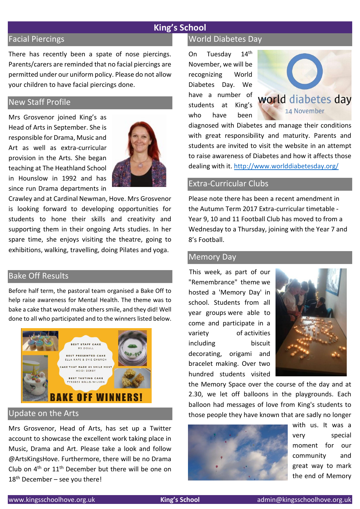## **King's School**

## Facial Piercings

There has recently been a spate of nose piercings. Parents/carers are reminded that no facial piercings are permitted under our uniform policy. Please do not allow your children to have facial piercings done.

## New Staff Profile

Mrs Grosvenor joined King's as Head of Arts in September. She is responsible for Drama, Music and Art as well as extra-curricular provision in the Arts. She began teaching at The Heathland School in Hounslow in 1992 and has since run Drama departments in



Crawley and at Cardinal Newman, Hove. Mrs Grosvenor is looking forward to developing opportunities for students to hone their skills and creativity and supporting them in their ongoing Arts studies. In her spare time, she enjoys visiting the theatre, going to exhibitions, walking, travelling, doing Pilates and yoga.

# Bake Off Results

Before half term, the pastoral team organised a Bake Off to help raise awareness for Mental Health. The theme was to bake a cake that would make others smile, and they did! Well done to all who participated and to the winners listed below.



# Update on the Arts

Mrs Grosvenor, Head of Arts, has set up a Twitter account to showcase the excellent work taking place in Music, Drama and Art. Please take a look and follow @ArtsKingsHove. Furthermore, there will be no Drama Club on 4th or 11th December but there will be one on  $18<sup>th</sup>$  December – see you there!

#### World Diabetes Day

On Tuesday 14th November, we will be recognizing World Diabetes Day. We have a number of students at King's who have been



diagnosed with Diabetes and manage their conditions with great responsibility and maturity. Parents and students are invited to visit the website in an attempt to raise awareness of Diabetes and how it affects those dealing with it. <http://www.worlddiabetesday.org/>

## Extra-Curricular Clubs

Please note there has been a recent amendment in the Autumn Term 2017 Extra-curricular timetable - Year 9, 10 and 11 Football Club has moved to from a Wednesday to a Thursday, joining with the Year 7 and 8's Football.

#### Memory Day

This week, as part of our "Remembrance" theme we hosted a 'Memory Day' in school. Students from all year groups were able to come and participate in a variety of activities including biscuit decorating, origami and bracelet making. Over two hundred students visited



the Memory Space over the course of the day and at 2.30, we let off balloons in the playgrounds. Each balloon had messages of love from King's students to those people they have known that are sadly no longer



with us. It was a very special moment for our community and great way to mark the end of Memory